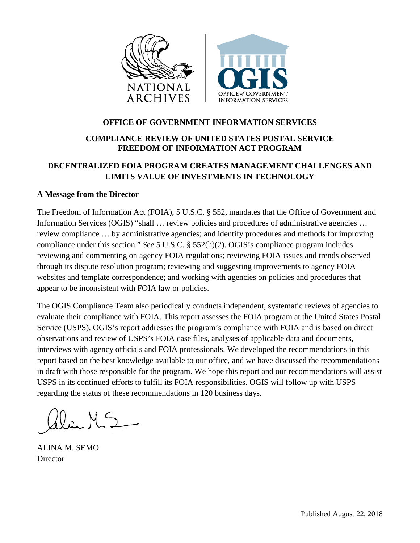

### **OFFICE OF GOVERNMENT INFORMATION SERVICES**

## **COMPLIANCE REVIEW OF UNITED STATES POSTAL SERVICE FREEDOM OF INFORMATION ACT PROGRAM**

# **DECENTRALIZED FOIA PROGRAM CREATES MANAGEMENT CHALLENGES AND LIMITS VALUE OF INVESTMENTS IN TECHNOLOGY**

#### **A Message from the Director**

The Freedom of Information Act (FOIA), 5 U.S.C. § 552, mandates that the Office of Government and Information Services (OGIS) "shall ... review policies and procedures of administrative agencies ... review compliance … by administrative agencies; and identify procedures and methods for improving compliance under this section." *See* 5 U.S.C. § 552(h)(2). OGIS's compliance program includes reviewing and commenting on agency FOIA regulations; reviewing FOIA issues and trends observed through its dispute resolution program; reviewing and suggesting improvements to agency FOIA websites and template correspondence; and working with agencies on policies and procedures that appear to be inconsistent with FOIA law or policies.

The OGIS Compliance Team also periodically conducts independent, systematic reviews of agencies to evaluate their compliance with FOIA. This report assesses the FOIA program at the United States Postal Service (USPS). OGIS's report addresses the program's compliance with FOIA and is based on direct observations and review of USPS's FOIA case files, analyses of applicable data and documents, interviews with agency officials and FOIA professionals. We developed the recommendations in this report based on the best knowledge available to our office, and we have discussed the recommendations in draft with those responsible for the program. We hope this report and our recommendations will assist USPS in its continued efforts to fulfill its FOIA responsibilities. OGIS will follow up with USPS regarding the status of these recommendations in 120 business days.

 $0.45$ 

ALINA M. SEMO **Director**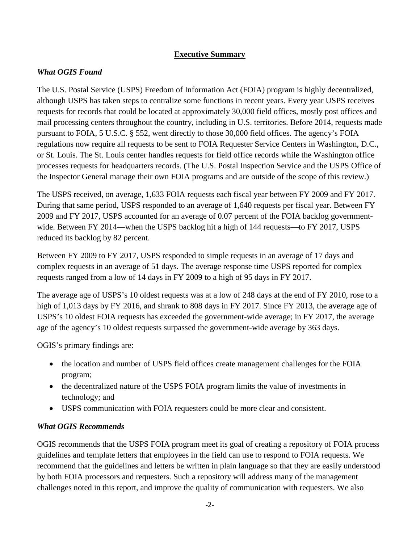### **Executive Summary**

## *What OGIS Found*

The U.S. Postal Service (USPS) Freedom of Information Act (FOIA) program is highly decentralized, although USPS has taken steps to centralize some functions in recent years. Every year USPS receives requests for records that could be located at approximately 30,000 field offices, mostly post offices and mail processing centers throughout the country, including in U.S. territories. Before 2014, requests made pursuant to FOIA, 5 U.S.C. § 552, went directly to those 30,000 field offices. The agency's FOIA regulations now require all requests to be sent to FOIA Requester Service Centers in Washington, D.C., or St. Louis. The St. Louis center handles requests for field office records while the Washington office processes requests for headquarters records. (The U.S. Postal Inspection Service and the USPS Office of the Inspector General manage their own FOIA programs and are outside of the scope of this review.)

The USPS received, on average, 1,633 FOIA requests each fiscal year between FY 2009 and FY 2017. During that same period, USPS responded to an average of 1,640 requests per fiscal year. Between FY 2009 and FY 2017, USPS accounted for an average of 0.07 percent of the FOIA backlog governmentwide. Between FY 2014—when the USPS backlog hit a high of 144 requests—to FY 2017, USPS reduced its backlog by 82 percent.

Between FY 2009 to FY 2017, USPS responded to simple requests in an average of 17 days and complex requests in an average of 51 days. The average response time USPS reported for complex requests ranged from a low of 14 days in FY 2009 to a high of 95 days in FY 2017.

The average age of USPS's 10 oldest requests was at a low of 248 days at the end of FY 2010, rose to a high of 1,013 days by FY 2016, and shrank to 808 days in FY 2017. Since FY 2013, the average age of USPS's 10 oldest FOIA requests has exceeded the government-wide average; in FY 2017, the average age of the agency's 10 oldest requests surpassed the government-wide average by 363 days.

OGIS's primary findings are:

- the location and number of USPS field offices create management challenges for the FOIA program;
- the decentralized nature of the USPS FOIA program limits the value of investments in technology; and
- USPS communication with FOIA requesters could be more clear and consistent.

### *What OGIS Recommends*

OGIS recommends that the USPS FOIA program meet its goal of creating a repository of FOIA process guidelines and template letters that employees in the field can use to respond to FOIA requests. We recommend that the guidelines and letters be written in plain language so that they are easily understood by both FOIA processors and requesters. Such a repository will address many of the management challenges noted in this report, and improve the quality of communication with requesters. We also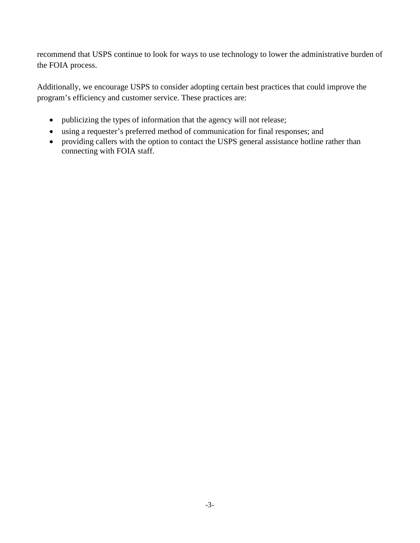recommend that USPS continue to look for ways to use technology to lower the administrative burden of the FOIA process.

Additionally, we encourage USPS to consider adopting certain best practices that could improve the program's efficiency and customer service. These practices are:

- publicizing the types of information that the agency will not release;
- using a requester's preferred method of communication for final responses; and
- providing callers with the option to contact the USPS general assistance hotline rather than connecting with FOIA staff.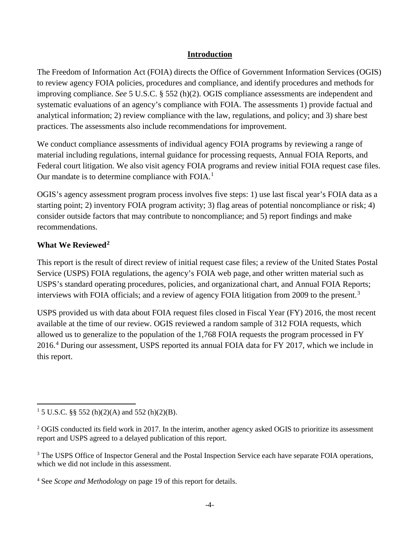### **Introduction**

The Freedom of Information Act (FOIA) directs the Office of Government Information Services (OGIS) to review agency FOIA policies, procedures and compliance, and identify procedures and methods for improving compliance. *See* 5 U.S.C. § 552 (h)(2). OGIS compliance assessments are independent and systematic evaluations of an agency's compliance with FOIA. The assessments 1) provide factual and analytical information; 2) review compliance with the law, regulations, and policy; and 3) share best practices. The assessments also include recommendations for improvement.

We conduct compliance assessments of individual agency FOIA programs by reviewing a range of material including regulations, internal guidance for processing requests, Annual FOIA Reports, and Federal court litigation. We also visit agency FOIA programs and review initial FOIA request case files. Our mandate is to determine compliance with FOIA.<sup>[1](#page-3-0)</sup>

OGIS's agency assessment program process involves five steps: 1) use last fiscal year's FOIA data as a starting point; 2) inventory FOIA program activity; 3) flag areas of potential noncompliance or risk; 4) consider outside factors that may contribute to noncompliance; and 5) report findings and make recommendations.

# **What We Reviewed[2](#page-3-1)**

This report is the result of direct review of initial request case files; a review of the United States Postal Service (USPS) FOIA regulations, the agency's FOIA web page, and other written material such as USPS's standard operating procedures, policies, and organizational chart, and Annual FOIA Reports; interviews with FOIA officials; and a review of agency FOIA litigation from 2009 to the present.<sup>[3](#page-3-2)</sup>

USPS provided us with data about FOIA request files closed in Fiscal Year (FY) 2016, the most recent available at the time of our review. OGIS reviewed a random sample of 312 FOIA requests, which allowed us to generalize to the population of the 1,768 FOIA requests the program processed in FY 2016.[4](#page-3-3) During our assessment, USPS reported its annual FOIA data for FY 2017, which we include in this report.

<span id="page-3-0"></span> $\overline{\phantom{a}}$ <sup>1</sup> 5 U.S.C. §§ 552 (h)(2)(A) and 552 (h)(2)(B).

<span id="page-3-1"></span> $2$  OGIS conducted its field work in 2017. In the interim, another agency asked OGIS to prioritize its assessment report and USPS agreed to a delayed publication of this report.

<span id="page-3-2"></span><sup>&</sup>lt;sup>3</sup> The USPS Office of Inspector General and the Postal Inspection Service each have separate FOIA operations, which we did not include in this assessment.

<span id="page-3-3"></span><sup>4</sup> See *Scope and Methodology* on page 19 of this report for details.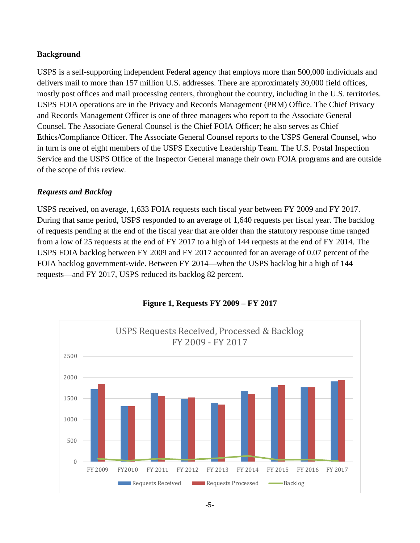### **Background**

USPS is a self-supporting independent Federal agency that employs more than 500,000 individuals and delivers mail to more than 157 million U.S. addresses. There are approximately 30,000 field offices, mostly post offices and mail processing centers, throughout the country, including in the U.S. territories. USPS FOIA operations are in the Privacy and Records Management (PRM) Office. The Chief Privacy and Records Management Officer is one of three managers who report to the Associate General Counsel. The Associate General Counsel is the Chief FOIA Officer; he also serves as Chief Ethics/Compliance Officer. The Associate General Counsel reports to the USPS General Counsel, who in turn is one of eight members of the USPS Executive Leadership Team. The U.S. Postal Inspection Service and the USPS Office of the Inspector General manage their own FOIA programs and are outside of the scope of this review.

## *Requests and Backlog*

USPS received, on average, 1,633 FOIA requests each fiscal year between FY 2009 and FY 2017. During that same period, USPS responded to an average of 1,640 requests per fiscal year. The backlog of requests pending at the end of the fiscal year that are older than the statutory response time ranged from a low of 25 requests at the end of FY 2017 to a high of 144 requests at the end of FY 2014. The USPS FOIA backlog between FY 2009 and FY 2017 accounted for an average of 0.07 percent of the FOIA backlog government-wide. Between FY 2014—when the USPS backlog hit a high of 144 requests—and FY 2017, USPS reduced its backlog 82 percent.



### **Figure 1, Requests FY 2009 – FY 2017**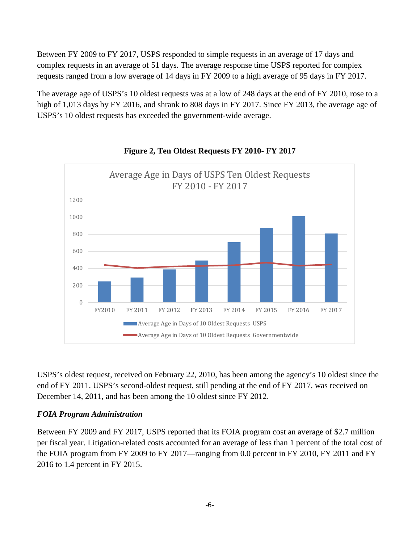Between FY 2009 to FY 2017, USPS responded to simple requests in an average of 17 days and complex requests in an average of 51 days. The average response time USPS reported for complex requests ranged from a low average of 14 days in FY 2009 to a high average of 95 days in FY 2017.

The average age of USPS's 10 oldest requests was at a low of 248 days at the end of FY 2010, rose to a high of 1,013 days by FY 2016, and shrank to 808 days in FY 2017. Since FY 2013, the average age of USPS's 10 oldest requests has exceeded the government-wide average.



### **Figure 2, Ten Oldest Requests FY 2010- FY 2017**

USPS's oldest request, received on February 22, 2010, has been among the agency's 10 oldest since the end of FY 2011. USPS's second-oldest request, still pending at the end of FY 2017, was received on December 14, 2011, and has been among the 10 oldest since FY 2012.

### *FOIA Program Administration*

Between FY 2009 and FY 2017, USPS reported that its FOIA program cost an average of \$2.7 million per fiscal year. Litigation-related costs accounted for an average of less than 1 percent of the total cost of the FOIA program from FY 2009 to FY 2017—ranging from 0.0 percent in FY 2010, FY 2011 and FY 2016 to 1.4 percent in FY 2015.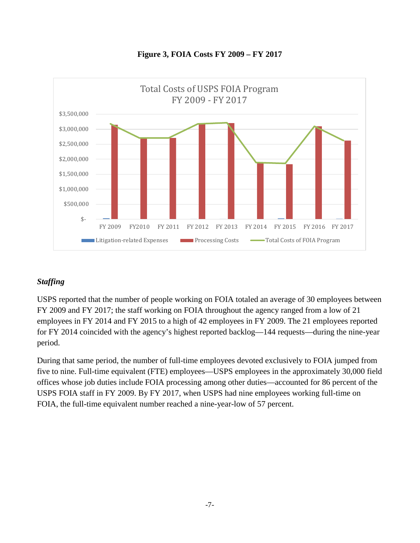

**Figure 3, FOIA Costs FY 2009 – FY 2017** 

## *Staffing*

USPS reported that the number of people working on FOIA totaled an average of 30 employees between FY 2009 and FY 2017; the staff working on FOIA throughout the agency ranged from a low of 21 employees in FY 2014 and FY 2015 to a high of 42 employees in FY 2009. The 21 employees reported for FY 2014 coincided with the agency's highest reported backlog—144 requests—during the nine-year period.

During that same period, the number of full-time employees devoted exclusively to FOIA jumped from five to nine. Full-time equivalent (FTE) employees—USPS employees in the approximately 30,000 field offices whose job duties include FOIA processing among other duties—accounted for 86 percent of the USPS FOIA staff in FY 2009. By FY 2017, when USPS had nine employees working full-time on FOIA, the full-time equivalent number reached a nine-year-low of 57 percent.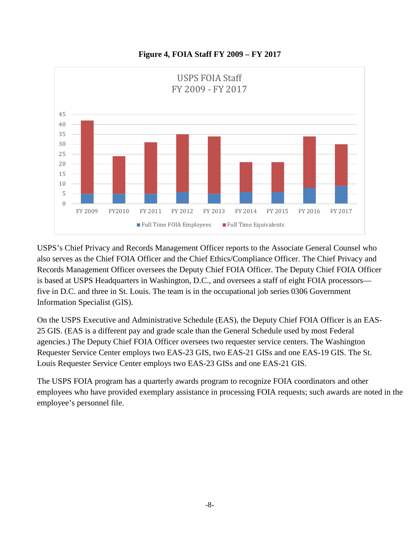

**Figure 4, FOIA Staff FY 2009 – FY 2017** 

USPS's Chief Privacy and Records Management Officer reports to the Associate General Counsel who also serves as the Chief FOIA Officer and the Chief Ethics/Compliance Officer. The Chief Privacy and Records Management Officer oversees the Deputy Chief FOIA Officer. The Deputy Chief FOIA Officer is based at USPS Headquarters in Washington, D.C., and oversees a staff of eight FOIA processors five in D.C. and three in St. Louis. The team is in the occupational job series 0306 Government Information Specialist (GIS).

On the USPS Executive and Administrative Schedule (EAS), the Deputy Chief FOIA Officer is an EAS-25 GIS. (EAS is a different pay and grade scale than the General Schedule used by most Federal agencies.) The Deputy Chief FOIA Officer oversees two requester service centers. The Washington Requester Service Center employs two EAS-23 GIS, two EAS-21 GISs and one EAS-19 GIS. The St. Louis Requester Service Center employs two EAS-23 GISs and one EAS-21 GIS.

The USPS FOIA program has a quarterly awards program to recognize FOIA coordinators and other employees who have provided exemplary assistance in processing FOIA requests; such awards are noted in the employee's personnel file.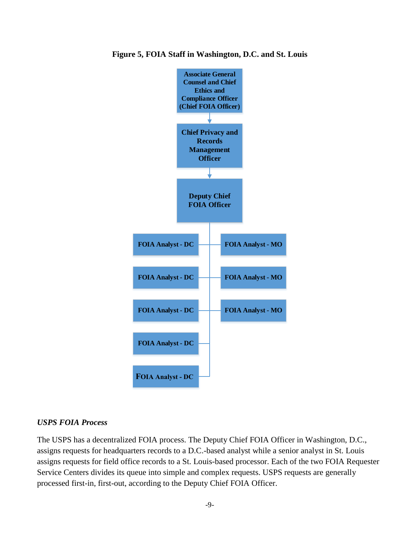

**Figure 5, FOIA Staff in Washington, D.C. and St. Louis** 

### *USPS FOIA Process*

The USPS has a decentralized FOIA process. The Deputy Chief FOIA Officer in Washington, D.C., assigns requests for headquarters records to a D.C.-based analyst while a senior analyst in St. Louis assigns requests for field office records to a St. Louis-based processor. Each of the two FOIA Requester Service Centers divides its queue into simple and complex requests. USPS requests are generally processed first-in, first-out, according to the Deputy Chief FOIA Officer.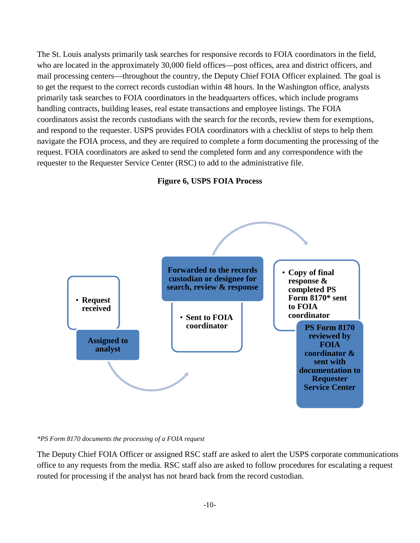The St. Louis analysts primarily task searches for responsive records to FOIA coordinators in the field, who are located in the approximately 30,000 field offices—post offices, area and district officers, and mail processing centers—throughout the country, the Deputy Chief FOIA Officer explained. The goal is to get the request to the correct records custodian within 48 hours. In the Washington office, analysts primarily task searches to FOIA coordinators in the headquarters offices, which include programs handling contracts, building leases, real estate transactions and employee listings. The FOIA coordinators assist the records custodians with the search for the records, review them for exemptions, and respond to the requester. USPS provides FOIA coordinators with a checklist of steps to help them navigate the FOIA process, and they are required to complete a form documenting the processing of the request. FOIA coordinators are asked to send the completed form and any correspondence with the requester to the Requester Service Center (RSC) to add to the administrative file.





*\*PS Form 8170 documents the processing of a FOIA request*

The Deputy Chief FOIA Officer or assigned RSC staff are asked to alert the USPS corporate communications office to any requests from the media. RSC staff also are asked to follow procedures for escalating a request routed for processing if the analyst has not heard back from the record custodian.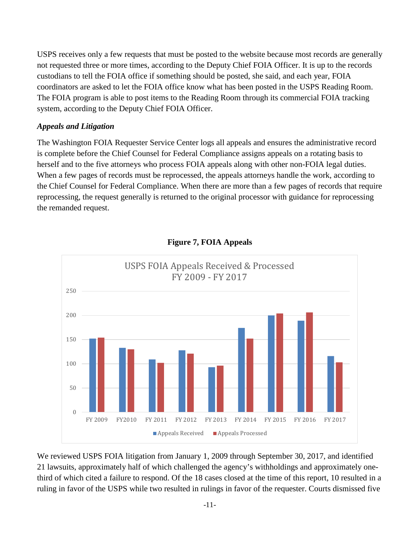USPS receives only a few requests that must be posted to the website because most records are generally not requested three or more times, according to the Deputy Chief FOIA Officer. It is up to the records custodians to tell the FOIA office if something should be posted, she said, and each year, FOIA coordinators are asked to let the FOIA office know what has been posted in the USPS Reading Room. The FOIA program is able to post items to the Reading Room through its commercial FOIA tracking system, according to the Deputy Chief FOIA Officer.

### *Appeals and Litigation*

The Washington FOIA Requester Service Center logs all appeals and ensures the administrative record is complete before the Chief Counsel for Federal Compliance assigns appeals on a rotating basis to herself and to the five attorneys who process FOIA appeals along with other non-FOIA legal duties. When a few pages of records must be reprocessed, the appeals attorneys handle the work, according to the Chief Counsel for Federal Compliance. When there are more than a few pages of records that require reprocessing, the request generally is returned to the original processor with guidance for reprocessing the remanded request.



**Figure 7, FOIA Appeals**

We reviewed USPS FOIA litigation from January 1, 2009 through September 30, 2017, and identified 21 lawsuits, approximately half of which challenged the agency's withholdings and approximately onethird of which cited a failure to respond. Of the 18 cases closed at the time of this report, 10 resulted in a ruling in favor of the USPS while two resulted in rulings in favor of the requester. Courts dismissed five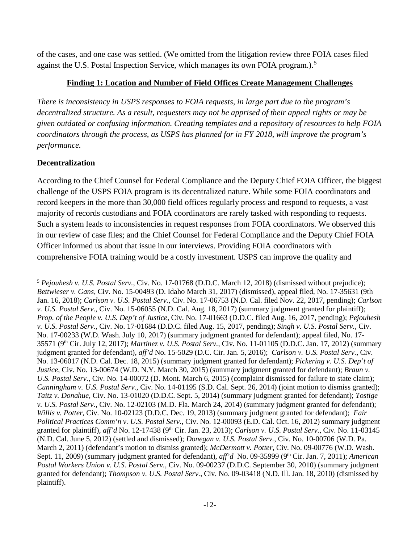of the cases, and one case was settled. (We omitted from the litigation review three FOIA cases filed against the U.S. Postal Inspection Service, which manages its own FOIA program.).<sup>[5](#page-11-0)</sup>

### **Finding 1: Location and Number of Field Offices Create Management Challenges**

*There is inconsistency in USPS responses to FOIA requests, in large part due to the program's decentralized structure. As a result, requesters may not be apprised of their appeal rights or may be given outdated or confusing information. Creating templates and a repository of resources to help FOIA coordinators through the process, as USPS has planned for in FY 2018, will improve the program's performance.* 

## **Decentralization**

 $\overline{\phantom{a}}$ 

According to the Chief Counsel for Federal Compliance and the Deputy Chief FOIA Officer, the biggest challenge of the USPS FOIA program is its decentralized nature. While some FOIA coordinators and record keepers in the more than 30,000 field offices regularly process and respond to requests, a vast majority of records custodians and FOIA coordinators are rarely tasked with responding to requests. Such a system leads to inconsistencies in request responses from FOIA coordinators. We observed this in our review of case files; and the Chief Counsel for Federal Compliance and the Deputy Chief FOIA Officer informed us about that issue in our interviews. Providing FOIA coordinators with comprehensive FOIA training would be a costly investment. USPS can improve the quality and

<span id="page-11-0"></span><sup>5</sup> *Pejouhesh v. U.S. Postal Serv.*, Civ. No. 17-01768 (D.D.C. March 12, 2018) (dismissed without prejudice); *Bettwieser v. Gans*, Civ. No. 15-00493 (D. Idaho March 31, 2017) (dismissed), appeal filed, No. 17-35631 (9th Jan. 16, 2018); *Carlson v. U.S. Postal Serv.*, Civ. No. 17-06753 (N.D. Cal. filed Nov. 22, 2017, pending); *Carlson v. U.S. Postal Serv.*, Civ. No. 15-06055 (N.D. Cal. Aug. 18, 2017) (summary judgment granted for plaintiff); *Prop. of the People v. U.S. Dep't of Justice*, Civ. No. 17-01663 (D.D.C. filed Aug. 16, 2017, pending); *Pejouhesh v. U.S. Postal Serv.*, Civ. No. 17-01684 (D.D.C. filed Aug. 15, 2017, pending); *Singh v. U.S. Postal Serv.*, Civ. No. 17-00233 (W.D. Wash. July 10, 2017) (summary judgment granted for defendant); appeal filed, No. 17- 35571 (9th Cir. July 12, 2017); *Martinez v. U.S. Postal Serv.*, Civ. No. 11-01105 (D.D.C. Jan. 17, 2012) (summary judgment granted for defendant), *aff'd* No. 15-5029 (D.C. Cir. Jan. 5, 2016); *Carlson v. U.S. Postal Serv.*, Civ. No. 13-06017 (N.D. Cal. Dec. 18, 2015) (summary judgment granted for defendant); *Pickering v. U.S. Dep't of Justice*, Civ. No. 13-00674 (W.D. N.Y. March 30, 2015) (summary judgment granted for defendant); *Braun v. U.S. Postal Serv.*, Civ. No. 14-00072 (D. Mont. March 6, 2015) (complaint dismissed for failure to state claim); *Cunningham v. U.S. Postal Serv.*, Civ. No. 14-01195 (S.D. Cal. Sept. 26, 2014) (joint motion to dismiss granted); *Taitz v. Donahue*, Civ. No. 13-01020 (D.D.C. Sept. 5, 2014) (summary judgment granted for defendant); *Tostige v. U.S. Postal Serv.*, Civ. No. 12-02103 (M.D. Fla. March 24, 2014) (summary judgment granted for defendant); *Willis v. Potter*, Civ. No. 10-02123 (D.D.C. Dec. 19, 2013) (summary judgment granted for defendant); *Fair Political Practices Comm'n v. U.S. Postal Serv.*, Civ. No. 12-00093 (E.D. Cal. Oct. 16, 2012) summary judgment granted for plaintiff), *aff'd* No. 12-17438 (9th Cir. Jan. 23, 2013); *Carlson v. U.S. Postal Serv.*, Civ. No. 11-03145 (N.D. Cal. June 5, 2012) (settled and dismissed); *Donegan v. U.S. Postal Serv.*, Civ. No. 10-00706 (W.D. Pa. March 2, 2011) (defendant's motion to dismiss granted); *McDermott v. Potter*, Civ. No. 09-00776 (W.D. Wash. Sept. 11, 2009) (summary judgment granted for defendant), *aff'd* No. 09-35999 (9<sup>th</sup> Cir. Jan. 7, 2011); *American Postal Workers Union v. U.S. Postal Serv.*, Civ. No. 09-00237 (D.D.C. September 30, 2010) (summary judgment granted for defendant); *Thompson v. U.S. Postal Serv.*, Civ. No. 09-03418 (N.D. Ill. Jan. 18, 2010) (dismissed by plaintiff).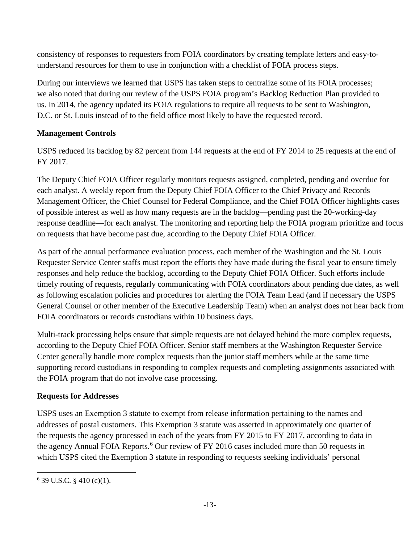consistency of responses to requesters from FOIA coordinators by creating template letters and easy-tounderstand resources for them to use in conjunction with a checklist of FOIA process steps.

During our interviews we learned that USPS has taken steps to centralize some of its FOIA processes; we also noted that during our review of the USPS FOIA program's Backlog Reduction Plan provided to us. In 2014, the agency updated its FOIA regulations to require all requests to be sent to Washington, D.C. or St. Louis instead of to the field office most likely to have the requested record.

# **Management Controls**

USPS reduced its backlog by 82 percent from 144 requests at the end of FY 2014 to 25 requests at the end of FY 2017.

The Deputy Chief FOIA Officer regularly monitors requests assigned, completed, pending and overdue for each analyst. A weekly report from the Deputy Chief FOIA Officer to the Chief Privacy and Records Management Officer, the Chief Counsel for Federal Compliance, and the Chief FOIA Officer highlights cases of possible interest as well as how many requests are in the backlog—pending past the 20-working-day response deadline—for each analyst. The monitoring and reporting help the FOIA program prioritize and focus on requests that have become past due, according to the Deputy Chief FOIA Officer.

As part of the annual performance evaluation process, each member of the Washington and the St. Louis Requester Service Center staffs must report the efforts they have made during the fiscal year to ensure timely responses and help reduce the backlog, according to the Deputy Chief FOIA Officer. Such efforts include timely routing of requests, regularly communicating with FOIA coordinators about pending due dates, as well as following escalation policies and procedures for alerting the FOIA Team Lead (and if necessary the USPS General Counsel or other member of the Executive Leadership Team) when an analyst does not hear back from FOIA coordinators or records custodians within 10 business days.

Multi-track processing helps ensure that simple requests are not delayed behind the more complex requests, according to the Deputy Chief FOIA Officer. Senior staff members at the Washington Requester Service Center generally handle more complex requests than the junior staff members while at the same time supporting record custodians in responding to complex requests and completing assignments associated with the FOIA program that do not involve case processing.

## **Requests for Addresses**

USPS uses an Exemption 3 statute to exempt from release information pertaining to the names and addresses of postal customers. This Exemption 3 statute was asserted in approximately one quarter of the requests the agency processed in each of the years from FY 2015 to FY 2017, according to data in the agency Annual FOIA Reports.<sup>[6](#page-12-0)</sup> Our review of FY 2016 cases included more than 50 requests in which USPS cited the Exemption 3 statute in responding to requests seeking individuals' personal

<span id="page-12-0"></span>l  $6$  39 U.S.C. § 410 (c)(1).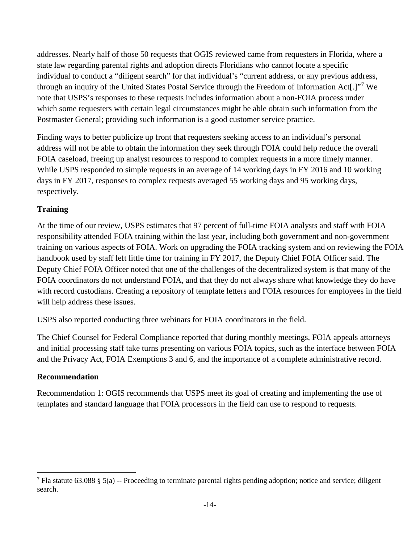addresses. Nearly half of those 50 requests that OGIS reviewed came from requesters in Florida, where a state law regarding parental rights and adoption directs Floridians who cannot locate a specific individual to conduct a "diligent search" for that individual's "current address, or any previous address, through an inquiry of the United States Postal Service through the Freedom of Information Act[.]"[7](#page-13-0) We note that USPS's responses to these requests includes information about a non-FOIA process under which some requesters with certain legal circumstances might be able obtain such information from the Postmaster General; providing such information is a good customer service practice.

Finding ways to better publicize up front that requesters seeking access to an individual's personal address will not be able to obtain the information they seek through FOIA could help reduce the overall FOIA caseload, freeing up analyst resources to respond to complex requests in a more timely manner. While USPS responded to simple requests in an average of 14 working days in FY 2016 and 10 working days in FY 2017, responses to complex requests averaged 55 working days and 95 working days, respectively.

## **Training**

At the time of our review, USPS estimates that 97 percent of full-time FOIA analysts and staff with FOIA responsibility attended FOIA training within the last year, including both government and non-government training on various aspects of FOIA. Work on upgrading the FOIA tracking system and on reviewing the FOIA handbook used by staff left little time for training in FY 2017, the Deputy Chief FOIA Officer said. The Deputy Chief FOIA Officer noted that one of the challenges of the decentralized system is that many of the FOIA coordinators do not understand FOIA, and that they do not always share what knowledge they do have with record custodians. Creating a repository of template letters and FOIA resources for employees in the field will help address these issues.

USPS also reported conducting three webinars for FOIA coordinators in the field.

The Chief Counsel for Federal Compliance reported that during monthly meetings, FOIA appeals attorneys and initial processing staff take turns presenting on various FOIA topics, such as the interface between FOIA and the Privacy Act, FOIA Exemptions 3 and 6, and the importance of a complete administrative record.

### **Recommendation**

l

Recommendation 1: OGIS recommends that USPS meet its goal of creating and implementing the use of templates and standard language that FOIA processors in the field can use to respond to requests.

<span id="page-13-0"></span><sup>&</sup>lt;sup>7</sup> Fla statute 63.088 § 5(a) -- Proceeding to terminate parental rights pending adoption; notice and service; diligent search.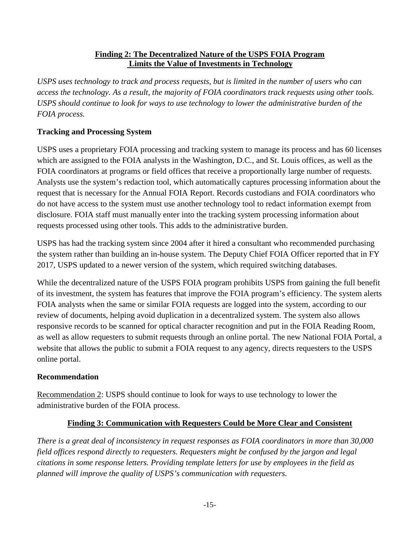### **Finding 2: The Decentralized Nature of the USPS FOIA Program Limits the Value of Investments in Technology**

*USPS uses technology to track and process requests, but is limited in the number of users who can access the technology. As a result, the majority of FOIA coordinators track requests using other tools. USPS should continue to look for ways to use technology to lower the administrative burden of the FOIA process.* 

## **Tracking and Processing System**

USPS uses a proprietary FOIA processing and tracking system to manage its process and has 60 licenses which are assigned to the FOIA analysts in the Washington, D.C., and St. Louis offices, as well as the FOIA coordinators at programs or field offices that receive a proportionally large number of requests. Analysts use the system's redaction tool, which automatically captures processing information about the request that is necessary for the Annual FOIA Report. Records custodians and FOIA coordinators who do not have access to the system must use another technology tool to redact information exempt from disclosure. FOIA staff must manually enter into the tracking system processing information about requests processed using other tools. This adds to the administrative burden.

USPS has had the tracking system since 2004 after it hired a consultant who recommended purchasing the system rather than building an in-house system. The Deputy Chief FOIA Officer reported that in FY 2017, USPS updated to a newer version of the system, which required switching databases.

While the decentralized nature of the USPS FOIA program prohibits USPS from gaining the full benefit of its investment, the system has features that improve the FOIA program's efficiency. The system alerts FOIA analysts when the same or similar FOIA requests are logged into the system, according to our review of documents, helping avoid duplication in a decentralized system. The system also allows responsive records to be scanned for optical character recognition and put in the FOIA Reading Room, as well as allow requesters to submit requests through an online portal. The new National FOIA Portal, a website that allows the public to submit a FOIA request to any agency, directs requesters to the USPS online portal.

### **Recommendation**

Recommendation 2: USPS should continue to look for ways to use technology to lower the administrative burden of the FOIA process.

## **Finding 3: Communication with Requesters Could be More Clear and Consistent**

*There is a great deal of inconsistency in request responses as FOIA coordinators in more than 30,000 field offices respond directly to requesters. Requesters might be confused by the jargon and legal citations in some response letters. Providing template letters for use by employees in the field as planned will improve the quality of USPS's communication with requesters.*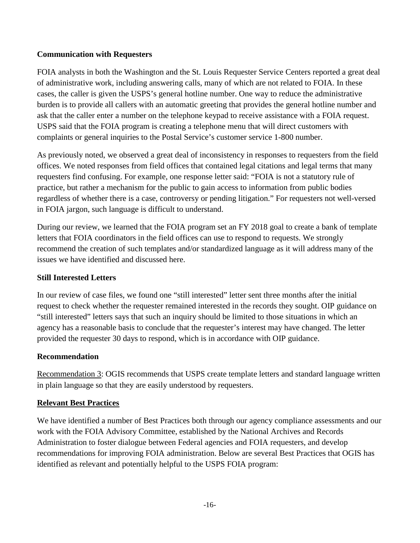### **Communication with Requesters**

FOIA analysts in both the Washington and the St. Louis Requester Service Centers reported a great deal of administrative work, including answering calls, many of which are not related to FOIA. In these cases, the caller is given the USPS's general hotline number. One way to reduce the administrative burden is to provide all callers with an automatic greeting that provides the general hotline number and ask that the caller enter a number on the telephone keypad to receive assistance with a FOIA request. USPS said that the FOIA program is creating a telephone menu that will direct customers with complaints or general inquiries to the Postal Service's customer service 1-800 number.

As previously noted, we observed a great deal of inconsistency in responses to requesters from the field offices. We noted responses from field offices that contained legal citations and legal terms that many requesters find confusing. For example, one response letter said: "FOIA is not a statutory rule of practice, but rather a mechanism for the public to gain access to information from public bodies regardless of whether there is a case, controversy or pending litigation." For requesters not well-versed in FOIA jargon, such language is difficult to understand.

During our review, we learned that the FOIA program set an FY 2018 goal to create a bank of template letters that FOIA coordinators in the field offices can use to respond to requests. We strongly recommend the creation of such templates and/or standardized language as it will address many of the issues we have identified and discussed here.

### **Still Interested Letters**

In our review of case files, we found one "still interested" letter sent three months after the initial request to check whether the requester remained interested in the records they sought. OIP guidance on "still interested" letters says that such an inquiry should be limited to those situations in which an agency has a reasonable basis to conclude that the requester's interest may have changed. The letter provided the requester 30 days to respond, which is in accordance with OIP guidance.

### **Recommendation**

Recommendation 3: OGIS recommends that USPS create template letters and standard language written in plain language so that they are easily understood by requesters.

### **Relevant Best Practices**

We have identified a number of Best Practices both through our agency compliance assessments and our work with the FOIA Advisory Committee, established by the National Archives and Records Administration to foster dialogue between Federal agencies and FOIA requesters, and develop recommendations for improving FOIA administration. Below are several Best Practices that OGIS has identified as relevant and potentially helpful to the USPS FOIA program: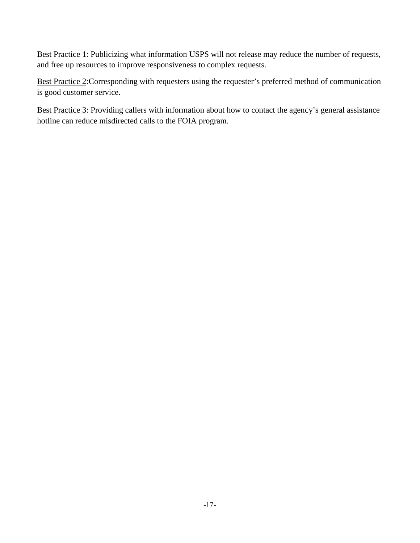Best Practice 1: Publicizing what information USPS will not release may reduce the number of requests, and free up resources to improve responsiveness to complex requests.

Best Practice 2:Corresponding with requesters using the requester's preferred method of communication is good customer service.

Best Practice 3: Providing callers with information about how to contact the agency's general assistance hotline can reduce misdirected calls to the FOIA program.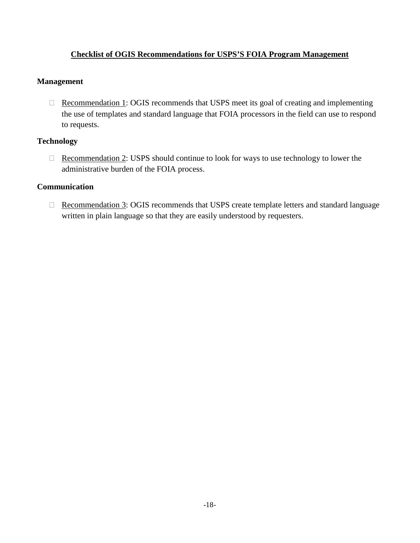### **Checklist of OGIS Recommendations for USPS'S FOIA Program Management**

#### **Management**

 $\Box$  Recommendation 1: OGIS recommends that USPS meet its goal of creating and implementing the use of templates and standard language that FOIA processors in the field can use to respond to requests.

### **Technology**

 $\Box$  Recommendation 2: USPS should continue to look for ways to use technology to lower the administrative burden of the FOIA process.

### **Communication**

□ Recommendation 3: OGIS recommends that USPS create template letters and standard language written in plain language so that they are easily understood by requesters.